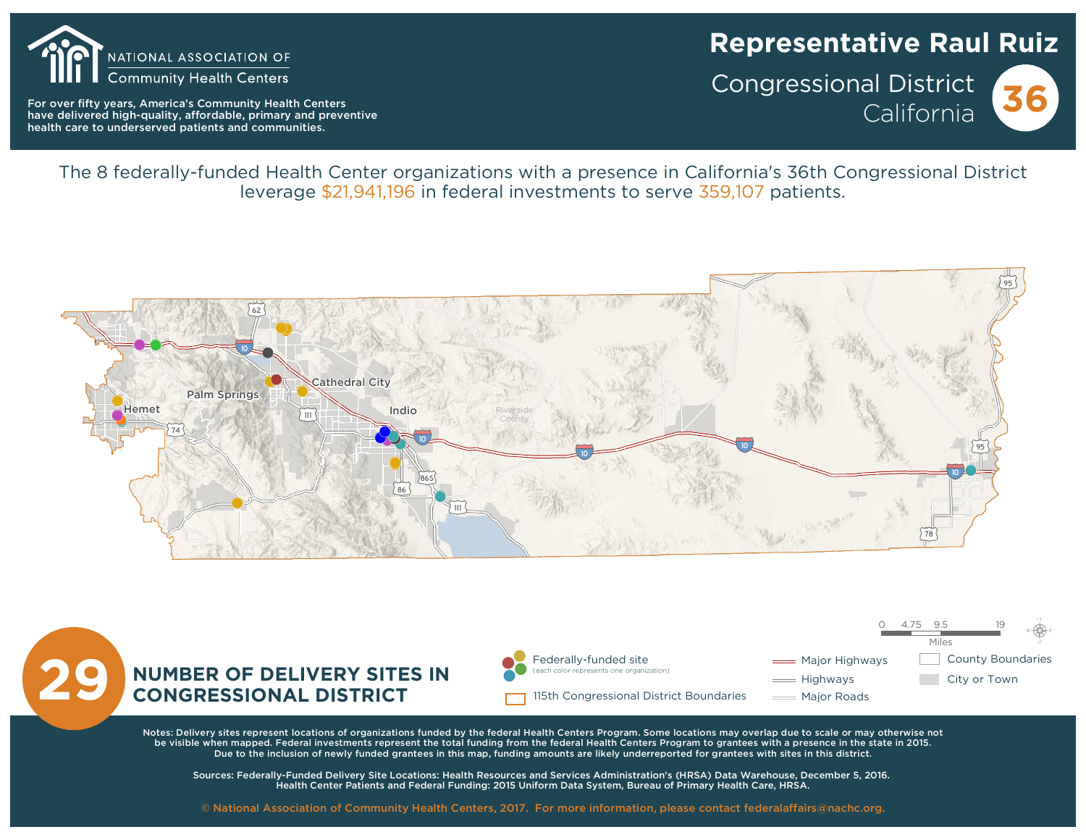

For over fifty years, America's Community Health Centers have delivered high-quality, affordable, primary and preventive health care to underserved patients and communities.

# **Representative Raul Ruiz**

**Congressional District** California

The 8 federally-funded Health Center organizations with a presence in California's 36th Congressional District leverage \$21.941.196 in federal investments to serve 359,107 patients.





Notes: Delivery sites represent locations of organizations funded by the federal Health Centers Program. Some locations may overlap due to scale or may otherwise not be visible when mapped. Federal investments represent the total funding from the federal Health Centers Program to grantees with a presence in the state in 2015. Due to the inclusion of newly funded grantees in this map, funding amounts are likely underreported for grantees with sites in this district.

Sources: Federally-Funded Delivery Site Locations: Health Resources and Services Administration's (HRSA) Data Warehouse, December 5, 2016. Health Center Patients and Federal Funding: 2015 Uniform Data System, Bureau of Primary Health Care, HRSA.

© National Association of Community Health Centers, 2017. For more information, please contact federalaffairs@nachc.org.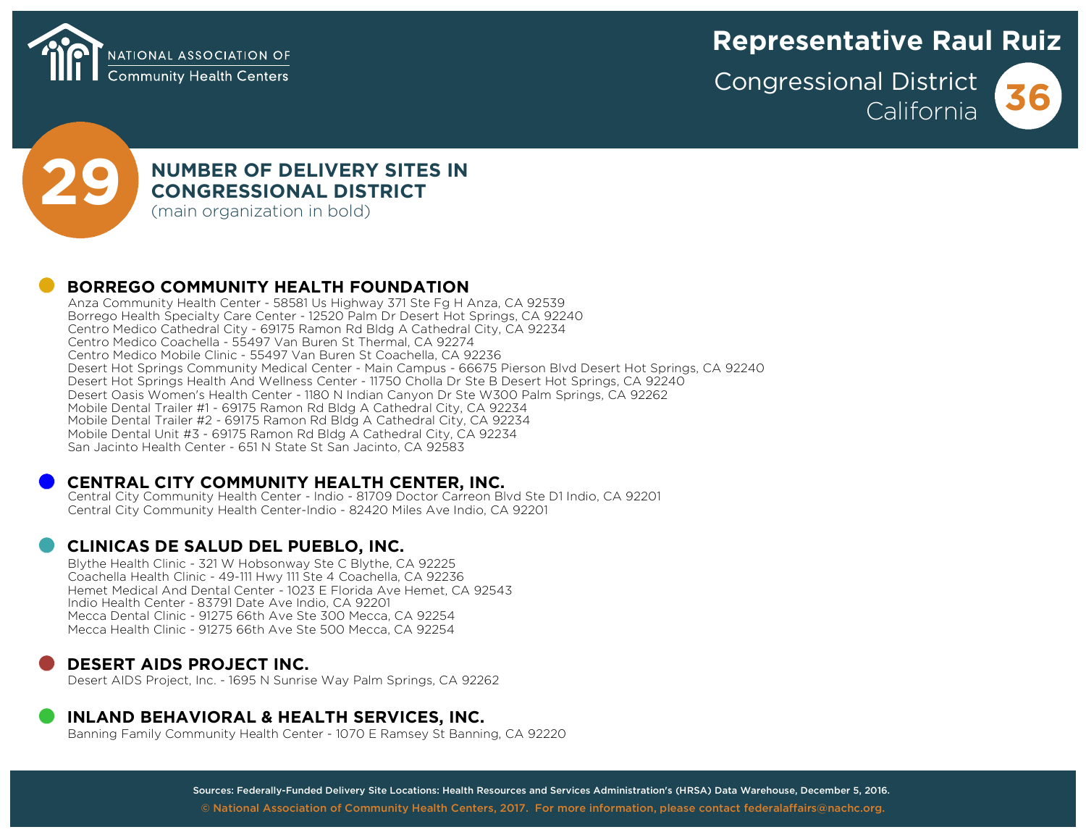

# **Representative Raul Ruiz**

**Congressional District California 36**





# **29 <b>D NUMBER OF DELIVERY SITES IN**<br> **CONGRESSIONAL DISTRICT**<br>
(main organization in bold) **CONGRESSIONAL DISTRICT**

**(main organization in bold)**

## !( **BORREGO COMMUNITY HEALTH FOUNDATION**

**Anza Community Health Center - 58581 Us Highway 371 Ste Fg H Anza, CA 92539 Borrego Health Specialty Care Center - 12520 Palm Dr Desert Hot Springs, CA 92240 Centro Medico Cathedral City - 69175 Ramon Rd Bldg A Cathedral City, CA 92234 Centro Medico Coachella - 55497 Van Buren St Thermal, CA 92274 Centro Medico Mobile Clinic - 55497 Van Buren St Coachella, CA 92236** Desert Hot Springs Community Medical Center - Main Campus - 66675 Pierson Blyd Desert Hot Springs, CA 92240 **Desert Hot Springs Health And Wellness Center - 11750 Cholla Dr Ste B Desert Hot Springs, CA 92240 Desert Oasis Women's Health Center - 1180 N Indian Canyon Dr Ste W300 Palm Springs, CA 92262 Mobile Dental Trailer #1 - 69175 Ramon Rd Bldg A Cathedral City, CA 92234 Mobile Dental Trailer #2 - 69175 Ramon Rd Bldg A Cathedral City, CA 92234 Mobile Dental Unit #3 - 69175 Ramon Rd Bldg A Cathedral City, CA 92234 San Jacinto Health Center - 651 N State St San Jacinto, CA 92583**

### !( **CENTRAL CITY COMMUNITY HEALTH CENTER, INC.**

**Central City Community Health Center - Indio - 81709 Doctor Carreon Blvd Ste D1 Indio, CA 92201 Central City Community Health Center-Indio - 82420 Miles Ave Indio, CA 92201**

### !( **CLINICAS DE SALUD DEL PUEBLO, INC.**

**Blythe Health Clinic - 321 W Hobsonway Ste C Blythe, CA 92225 Coachella Health Clinic - 49-111 Hwy 111 Ste 4 Coachella, CA 92236 Hemet Medical And Dental Center - 1023 E Florida Ave Hemet, CA 92543 Indio Health Center - 83791 Date Ave Indio, CA 92201 Mecca Dental Clinic - 91275 66th Ave Ste 300 Mecca, CA 92254 Mecca Health Clinic - 91275 66th Ave Ste 500 Mecca, CA 92254**

## !( **DESERT AIDS PROJECT INC.**

**Desert AIDS Project, Inc. - 1695 N Sunrise Way Palm Springs, CA 92262**

# **INLAND BEHAVIORAL & HEALTH SERVICES, INC.**<br>Banning Family Community Health Center - 1070 E Ramsey St Banning, CA 92220